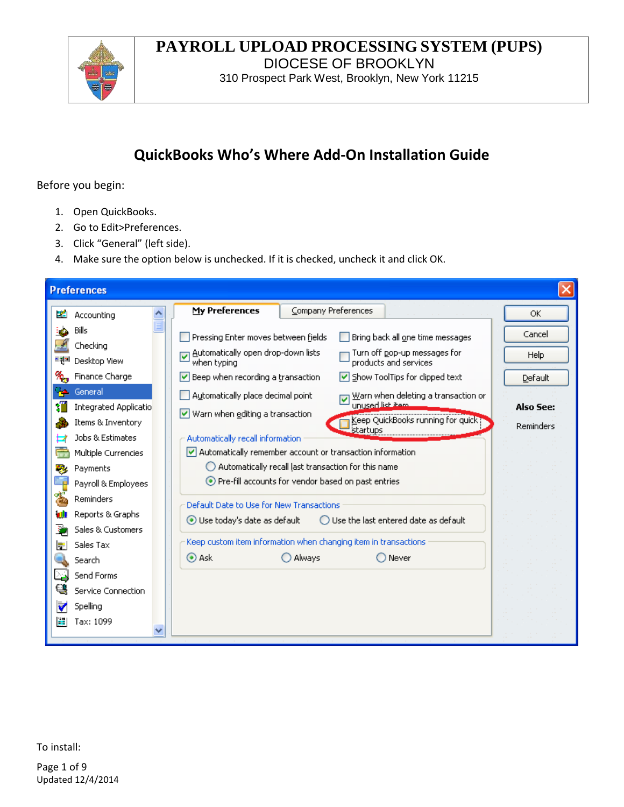

## **PAYROLL UPLOAD PROCESSING SYSTEM (PUPS)** DIOCESE OF BROOKLYN

310 Prospect Park West, Brooklyn, New York 11215

# **QuickBooks Who's Where Add-On Installation Guide**

Before you begin:

- 1. Open QuickBooks.
- 2. Go to Edit>Preferences.
- 3. Click "General" (left side).
- 4. Make sure the option below is unchecked. If it is checked, uncheck it and click OK.

| <b>Preferences</b> |                                                       |                                                                                                                                                                                            |                        |  |  |  |
|--------------------|-------------------------------------------------------|--------------------------------------------------------------------------------------------------------------------------------------------------------------------------------------------|------------------------|--|--|--|
| - 23               | $\ddot{\phantom{1}}$<br>Accounting                    | My Preferences<br>Company Preferences                                                                                                                                                      | ОК                     |  |  |  |
|                    | Bills<br>Checking<br>Desktop View                     | Pressing Enter moves between fields<br>Bring back all one time messages<br>Automatically open drop-down lists<br>Turn off pop-up messages for<br>▽<br>products and services<br>when typing | Cancel<br>Help         |  |  |  |
|                    | Finance Charge                                        | Beep when recording a transaction<br>Show ToolTips for clipped text<br>∣V∣                                                                                                                 | Default                |  |  |  |
|                    | General<br>Integrated Applicatio<br>Items & Inventory | Automatically place decimal point<br>Warn when deleting a transaction or<br>unused list item.<br>Warn when editing a transaction<br>Keep QuickBooks running for quick?<br>startups         | Also See:<br>Reminders |  |  |  |
| ь                  | Jobs & Estimates<br>Multiple Currencies               | Automatically recall information<br>$\vee$ Automatically remember account or transaction information<br>$\bigcirc$ Automatically recall last transaction for this name                     |                        |  |  |  |
| -3                 | Payments<br>Payroll & Employees<br>Reminders          | Pre-fill accounts for vendor based on past entries                                                                                                                                         |                        |  |  |  |
|                    | Reports & Graphs<br>Sales & Customers                 | Default Date to Use for New Transactions<br>Use today's date as default<br>$\bigcirc$ Use the last entered date as default                                                                 |                        |  |  |  |
|                    | Sales Tax                                             | Keep custom item information when changing item in transactions<br>$\odot$ Ask<br>Always<br>Never                                                                                          |                        |  |  |  |
|                    | Search<br>Send Forms                                  |                                                                                                                                                                                            |                        |  |  |  |
|                    | Service Connection<br>Spelling                        |                                                                                                                                                                                            |                        |  |  |  |
| ÷                  | Tax: 1099                                             |                                                                                                                                                                                            |                        |  |  |  |

To install:

Page 1 of 9 Updated 12/4/2014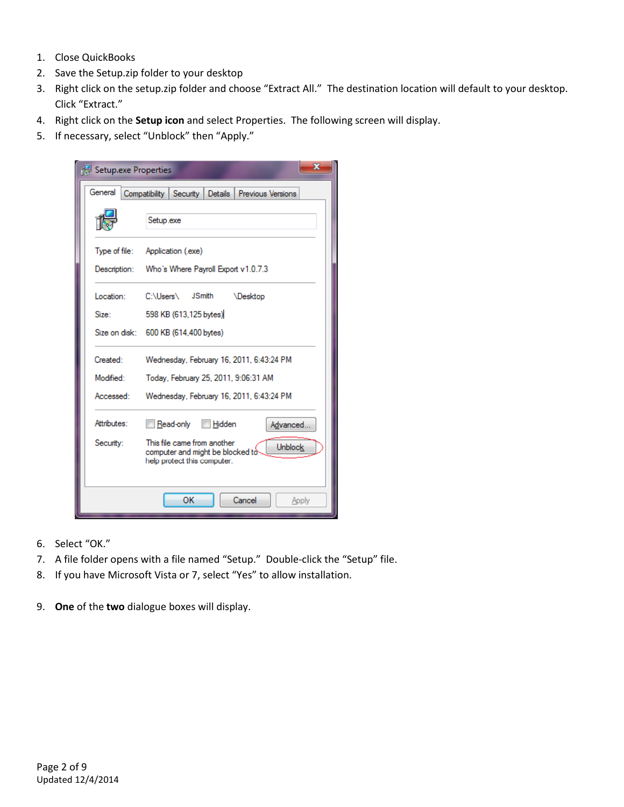- 1. Close QuickBooks
- 2. Save the Setup.zip folder to your desktop
- 3. Right click on the setup.zip folder and choose "Extract All." The destination location will default to your desktop. Click "Extract."
- 4. Right click on the **Setup icon** and select Properties. The following screen will display.
- 5. If necessary, select "Unblock" then "Apply."



- 6. Select "OK."
- 7. A file folder opens with a file named "Setup." Double-click the "Setup" file.
- 8. If you have Microsoft Vista or 7, select "Yes" to allow installation.
- 9. **One** of the **two** dialogue boxes will display.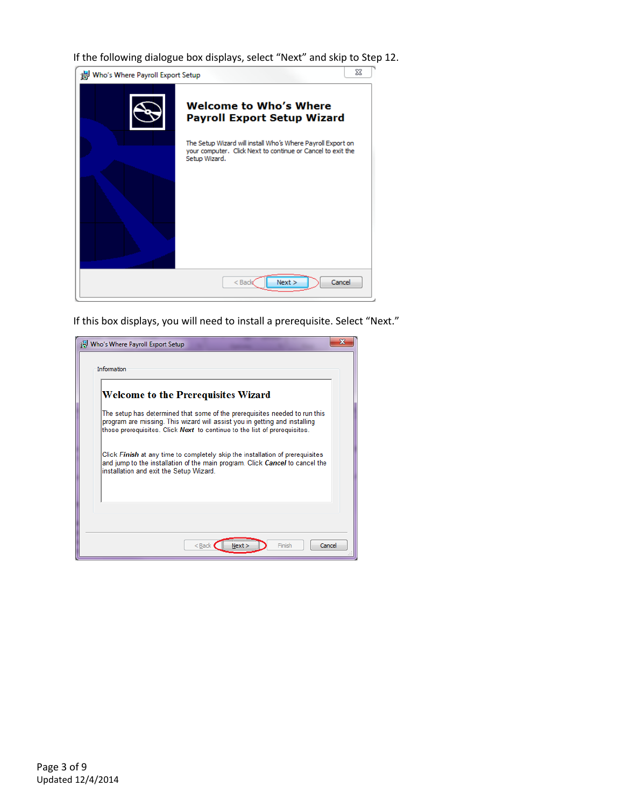If the following dialogue box displays, select "Next" and skip to Step 12.



If this box displays, you will need to install a prerequisite. Select "Next."

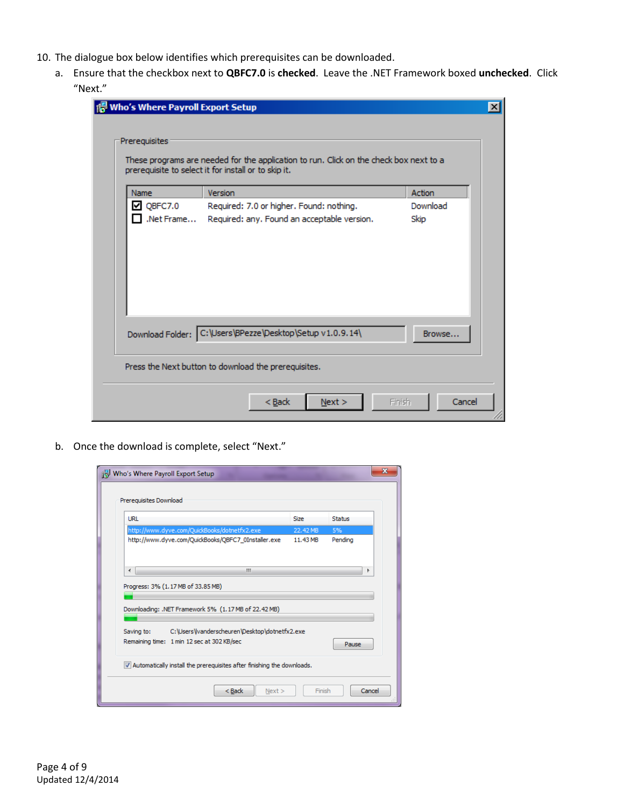- 10. The dialogue box below identifies which prerequisites can be downloaded.
	- a. Ensure that the checkbox next to **QBFC7.0** is **checked**. Leave the .NET Framework boxed **unchecked**. Click "Next."

| Name             | Version                                     | Action   |
|------------------|---------------------------------------------|----------|
| $\nabla$ QBFC7.0 | Required: 7.0 or higher. Found: nothing.    | Download |
| .Net Frame       | Required: any. Found an acceptable version. | Skip     |
|                  |                                             |          |
|                  |                                             |          |
|                  |                                             |          |

b. Once the download is complete, select "Next."

| Who's Where Payroll Export Setup                                                                                                                          |             |                  |  |  |
|-----------------------------------------------------------------------------------------------------------------------------------------------------------|-------------|------------------|--|--|
| Prereguisites Download                                                                                                                                    |             |                  |  |  |
| <b>URL</b>                                                                                                                                                | <b>Size</b> | <b>Status</b>    |  |  |
| http://www.dyve.com/QuickBooks/dotnetfx2.exe                                                                                                              | 22.42 MB    | 5%               |  |  |
| http://www.dyve.com/QuickBooks/QBFC7_0Installer.exe                                                                                                       | 11.43 MB    | Pending          |  |  |
| Ш<br>∢                                                                                                                                                    |             |                  |  |  |
| Progress: 3% (1.17 MB of 33.85 MB)<br>Downloading: .NET Framework 5% (1.17 MB of 22.42 MB)<br>C:\Users\vanderscheuren\Desktop\dotnetfx2.exe<br>Saving to: |             |                  |  |  |
|                                                                                                                                                           |             |                  |  |  |
| V Automatically install the prerequisites after finishing the downloads.                                                                                  |             |                  |  |  |
| $Back$                                                                                                                                                    | Next        | Cancel<br>Finish |  |  |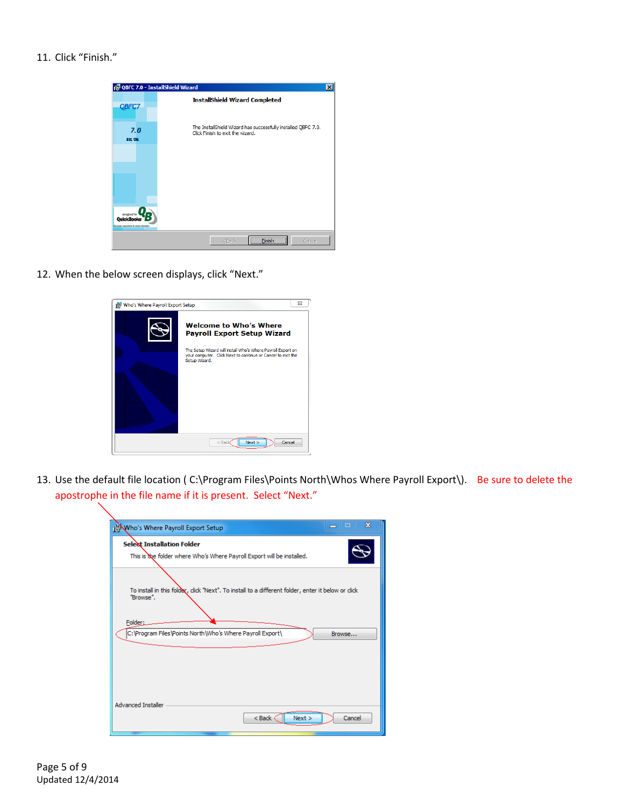### 11. Click "Finish."

|                                                 | QBFC 7.0 - InstallShield Wizard                                                                                        |  |  |  |  |
|-------------------------------------------------|------------------------------------------------------------------------------------------------------------------------|--|--|--|--|
| <b>OBFC7</b>                                    | <b>InstallShield Wizard Completed</b>                                                                                  |  |  |  |  |
| 7.0<br><b>BIL 136</b>                           | The InstallShield Wizard has successfully installed QBFC 7.0.<br>Click Finish to exit the wizard.                      |  |  |  |  |
|                                                 |                                                                                                                        |  |  |  |  |
|                                                 |                                                                                                                        |  |  |  |  |
| Gee system requirements for version information |                                                                                                                        |  |  |  |  |
|                                                 | ,,,,,,,,,,,,,,,,,,,,,,,,,,,,,,,,,,,,<br>Cancel<br>< Back<br>Finish<br>;,,,,,,,,,,, <del>,,</del> ,,,,,,,,,,,,,,,,,,,,, |  |  |  |  |

12. When the below screen displays, click "Next."

| Who's Where Payroll Export Setup | $\Sigma$                                                                                                                                    |
|----------------------------------|---------------------------------------------------------------------------------------------------------------------------------------------|
|                                  | <b>Welcome to Who's Where</b><br><b>Payroll Export Setup Wizard</b>                                                                         |
|                                  | The Setup Wizard will install Who's Where Payroll Export on<br>your computer. Click Next to continue or Cancel to exit the<br>Setup Wizard. |
|                                  | Next<br>Cancel<br>$<$ Bad                                                                                                                   |

13. Use the default file location ( C:\Program Files\Points North\Whos Where Payroll Export\). Be sure to delete the apostrophe in the file name if it is present. Select "Next."

| Who's Where Payroll Export Setup                                                                              | ж<br>▬           |
|---------------------------------------------------------------------------------------------------------------|------------------|
| <b>Selext Installation Folder</b><br>This is the folder where Who's Where Payroll Export will be installed.   |                  |
| To install in this folder, dick "Next". To install to a different folder, enter it below or dick<br>"Browse". |                  |
| Folder:<br>C: \Program Files\Points North\Who's Where Payroll Export\                                         | Browse           |
|                                                                                                               |                  |
| <b>Advanced Installer</b><br><back <<="" td=""><td>Next &gt;<br/>Cancel</td></back>                           | Next ><br>Cancel |

Page 5 of 9 Updated 12/4/2014

╲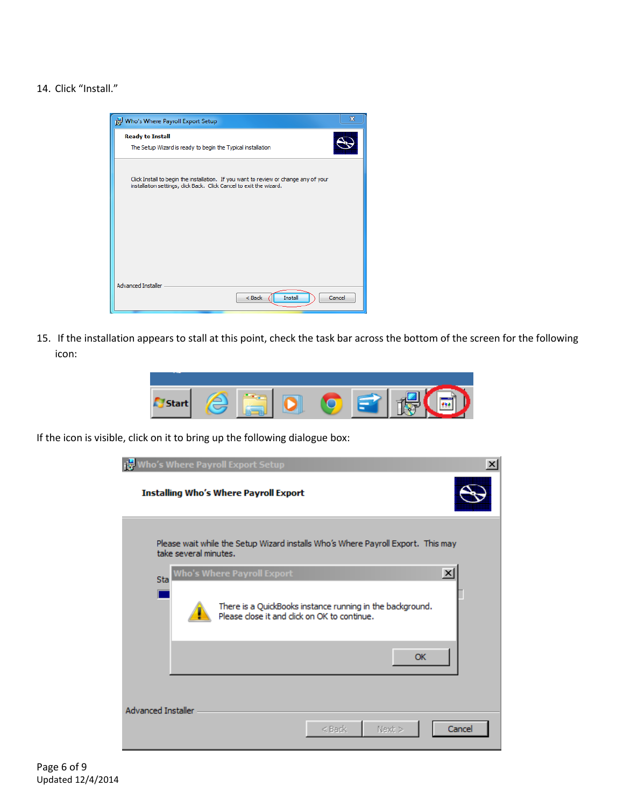#### 14. Click "Install."



15. If the installation appears to stall at this point, check the task bar across the bottom of the screen for the following icon:



If the icon is visible, click on it to bring up the following dialogue box:

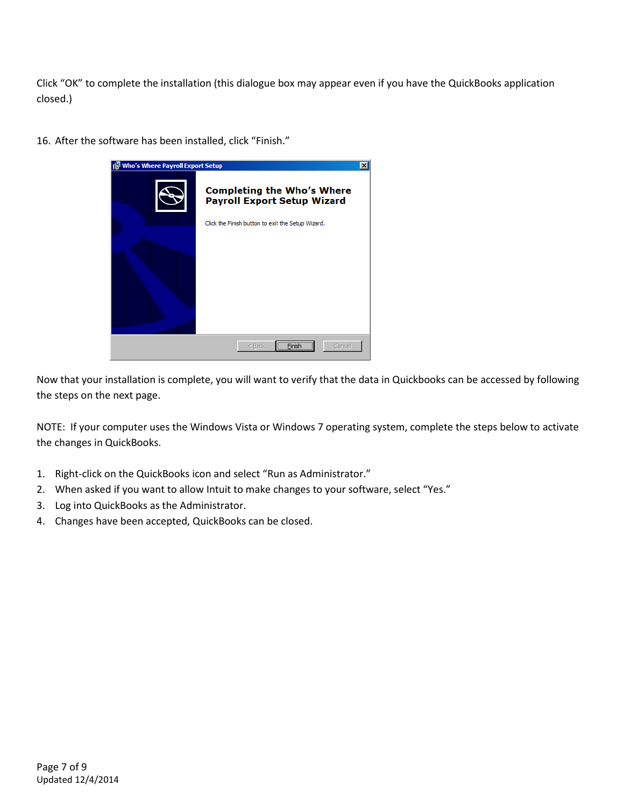Click "OK" to complete the installation (this dialogue box may appear even if you have the QuickBooks application closed.)



16. After the software has been installed, click "Finish."

Now that your installation is complete, you will want to verify that the data in Quickbooks can be accessed by following the steps on the next page.

NOTE: If your computer uses the Windows Vista or Windows 7 operating system, complete the steps below to activate the changes in QuickBooks.

- 1. Right-click on the QuickBooks icon and select "Run as Administrator."
- 2. When asked if you want to allow Intuit to make changes to your software, select "Yes."
- 3. Log into QuickBooks as the Administrator.
- 4. Changes have been accepted, QuickBooks can be closed.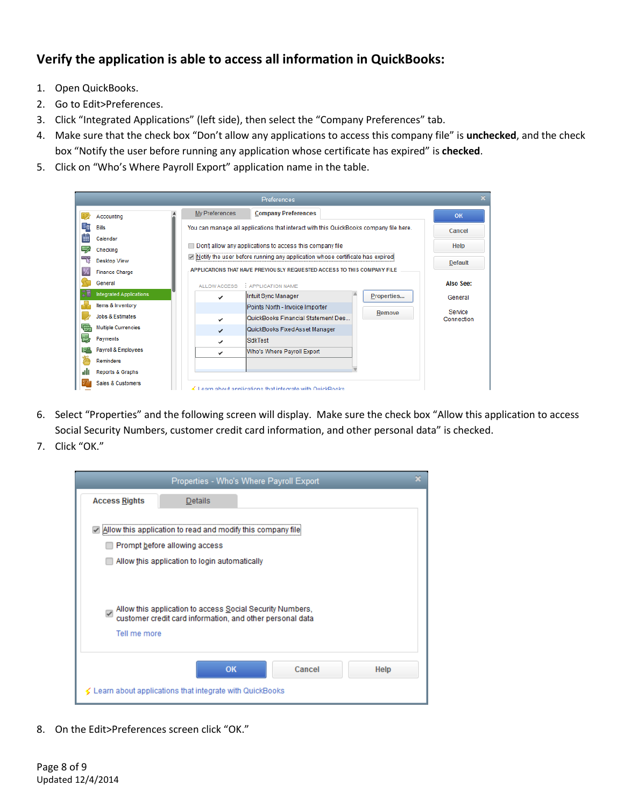## **Verify the application is able to access all information in QuickBooks:**

- 1. Open QuickBooks.
- 2. Go to Edit>Preferences.
- 3. Click "Integrated Applications" (left side), then select the "Company Preferences" tab.
- 4. Make sure that the check box "Don't allow any applications to access this company file" is **unchecked**, and the check box "Notify the user before running any application whose certificate has expired" is **checked**.
- 5. Click on "Who's Where Payroll Export" application name in the table.

| <b>Preferences</b> |                             |                                                                                                                                            |                                                                                       |            |                  |
|--------------------|-----------------------------|--------------------------------------------------------------------------------------------------------------------------------------------|---------------------------------------------------------------------------------------|------------|------------------|
|                    | Accounting                  | My Preferences                                                                                                                             | <b>Company Preferences</b>                                                            |            | OK               |
|                    | <b>Bills</b>                |                                                                                                                                            | You can manage all applications that interact with this QuickBooks company file here. |            | Cancel           |
|                    | Calendar                    |                                                                                                                                            | <b>Help</b>                                                                           |            |                  |
|                    | Checking                    | Don't allow any applications to access this company file<br>> Notify the user before running any application whose certificate has expired |                                                                                       |            |                  |
|                    | <b>Desktop View</b>         |                                                                                                                                            |                                                                                       |            | <b>Default</b>   |
|                    | <b>Finance Charge</b>       |                                                                                                                                            | APPLICATIONS THAT HAVE PREVIOUSLY REQUESTED ACCESS TO THIS COMPANY FILE               |            |                  |
|                    | General                     | ALLOW ACCESS                                                                                                                               | : APPLICATION NAME                                                                    |            | <b>Also See:</b> |
|                    | Integrated Applications     |                                                                                                                                            | Intuit Sync Manager                                                                   | Properties | General          |
|                    | Items & Inventory           |                                                                                                                                            | Points North - Invoice Importer                                                       | Remove     | Service          |
|                    | <b>Jobs &amp; Estimates</b> | ✓                                                                                                                                          | QuickBooks Financial Statement Des                                                    |            | Connection       |
|                    | <b>Multiple Currencies</b>  | ✓                                                                                                                                          | QuickBooks Fixed Asset Manager                                                        |            |                  |
|                    | Payments                    | ✓                                                                                                                                          | <b>SdkTest</b>                                                                        |            |                  |
|                    | Payroll & Employees         | ✓                                                                                                                                          | Who's Where Payroll Export                                                            |            |                  |
|                    | Reminders                   |                                                                                                                                            |                                                                                       |            |                  |
|                    | Reports & Graphs            |                                                                                                                                            |                                                                                       |            |                  |
|                    | Sales & Customers           |                                                                                                                                            | $\leq 1$ parn shout annitcations that integrate with QuickBooks                       |            |                  |

- 6. Select "Properties" and the following screen will display. Make sure the check box "Allow this application to access Social Security Numbers, customer credit card information, and other personal data" is checked.
- 7. Click "OK."



8. On the Edit>Preferences screen click "OK."